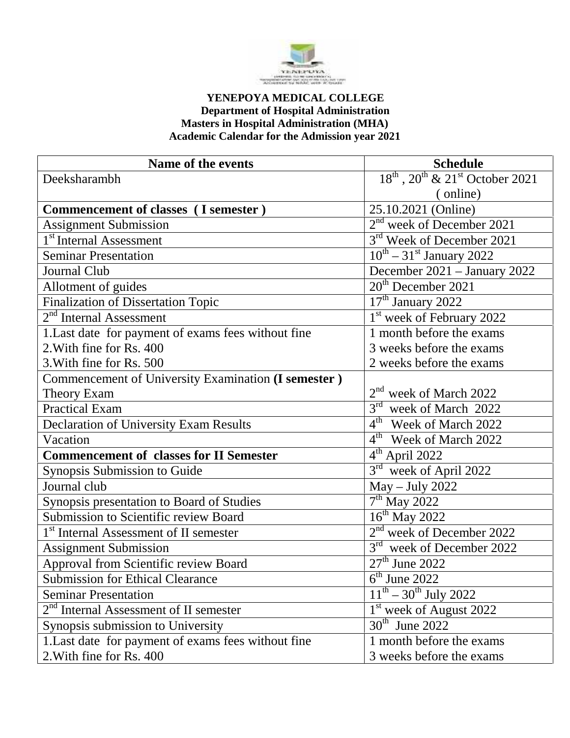

## **YENEPOYA MEDICAL COLLEGE Department of Hospital Administration Masters in Hospital Administration (MHA) Academic Calendar for the Admission year 2021**

| Name of the events                                   | <b>Schedule</b>                                |
|------------------------------------------------------|------------------------------------------------|
| Deeksharambh                                         | $18^{th}$ , $20^{th}$ & $21^{st}$ October 2021 |
|                                                      | (online)                                       |
| Commencement of classes (I semester)                 | 25.10.2021 (Online)                            |
| <b>Assignment Submission</b>                         | 2 <sup>nd</sup> week of December 2021          |
| 1 <sup>st</sup> Internal Assessment                  | 3rd Week of December 2021                      |
| <b>Seminar Presentation</b>                          | $10^{th} - 31^{st}$ January 2022               |
| Journal Club                                         | December 2021 - January 2022                   |
| Allotment of guides                                  | $20th$ December 2021                           |
| <b>Finalization of Dissertation Topic</b>            | 17 <sup>th</sup> January 2022                  |
| $2nd$ Internal Assessment                            | 1 <sup>st</sup> week of February 2022          |
| 1. Last date for payment of exams fees without fine  | 1 month before the exams                       |
| 2. With fine for Rs. 400                             | 3 weeks before the exams                       |
| 3. With fine for Rs. 500                             | 2 weeks before the exams                       |
| Commencement of University Examination (I semester ) |                                                |
| <b>Theory Exam</b>                                   | 2 <sup>nd</sup><br>week of March 2022          |
| <b>Practical Exam</b>                                | 3 <sup>rd</sup><br>week of March 2022          |
| <b>Declaration of University Exam Results</b>        | $4th$ Week of March 2022                       |
| Vacation                                             | $4th$ Week of March 2022                       |
| <b>Commencement of classes for II Semester</b>       | $\overline{4^{th}}$ April 2022                 |
| Synopsis Submission to Guide                         | $3^{\text{rd}}$<br>week of April 2022          |
| Journal club                                         | $May - July 2022$                              |
| Synopsis presentation to Board of Studies            | $\overline{7}^{\text{th}}$ May 2022            |
| Submission to Scientific review Board                | $\overline{16}$ <sup>th</sup> May 2022         |
| 1 <sup>st</sup> Internal Assessment of II semester   | 2 <sup>nd</sup> week of December 2022          |
| <b>Assignment Submission</b>                         | $3^{\text{rd}}$<br>week of December 2022       |
| Approval from Scientific review Board                | $27th$ June 2022                               |
| <b>Submission for Ethical Clearance</b>              | $6th$ June 2022                                |
| <b>Seminar Presentation</b>                          | $11^{th} - 30^{th}$ July 2022                  |
| $2nd$ Internal Assessment of II semester             | 1 <sup>st</sup> week of August 2022            |
| Synopsis submission to University                    | $30th$ June 2022                               |
| 1. Last date for payment of exams fees without fine  | 1 month before the exams                       |
| 2. With fine for Rs. 400                             | 3 weeks before the exams                       |
|                                                      |                                                |